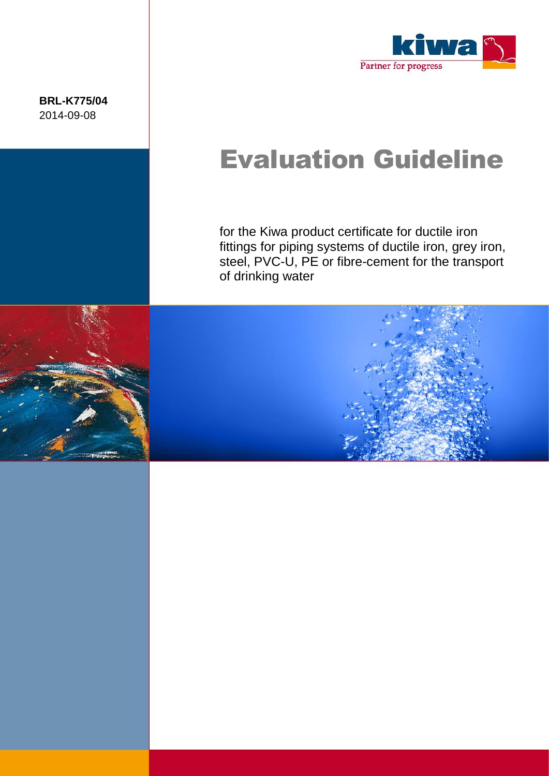**BRL-K775/04** 2014-09-08



# Evaluation Guideline

for the Kiwa product certificate for ductile iron fittings for piping systems of ductile iron, grey iron, steel, PVC-U, PE or fibre-cement for the transport of drinking water



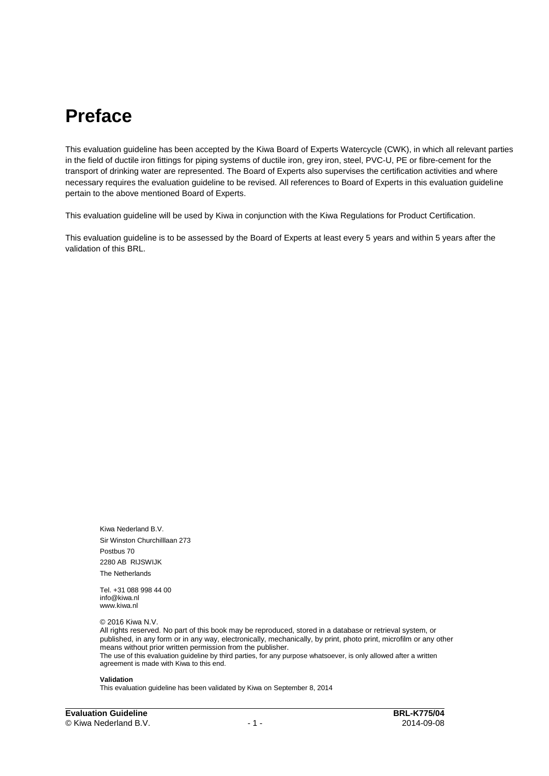### **Preface**

This evaluation guideline has been accepted by the Kiwa Board of Experts Watercycle (CWK), in which all relevant parties in the field of ductile iron fittings for piping systems of ductile iron, grey iron, steel, PVC-U, PE or fibre-cement for the transport of drinking water are represented. The Board of Experts also supervises the certification activities and where necessary requires the evaluation guideline to be revised. All references to Board of Experts in this evaluation guideline pertain to the above mentioned Board of Experts.

This evaluation guideline will be used by Kiwa in conjunction with the Kiwa Regulations for Product Certification.

This evaluation guideline is to be assessed by the Board of Experts at least every 5 years and within 5 years after the validation of this BRL.

Kiwa Nederland B.V. Sir Winston Churchilllaan 273 Postbus 70 2280 AB RIJSWIJK The Netherlands

Tel. +31 088 998 44 00 info@kiwa.nl www.kiwa.nl

© 2016 Kiwa N.V.

All rights reserved. No part of this book may be reproduced, stored in a database or retrieval system, or published, in any form or in any way, electronically, mechanically, by print, photo print, microfilm or any other means without prior written permission from the publisher. The use of this evaluation guideline by third parties, for any purpose whatsoever, is only allowed after a written agreement is made with Kiwa to this end.

#### **Validation**

This evaluation guideline has been validated by Kiwa on September 8, 2014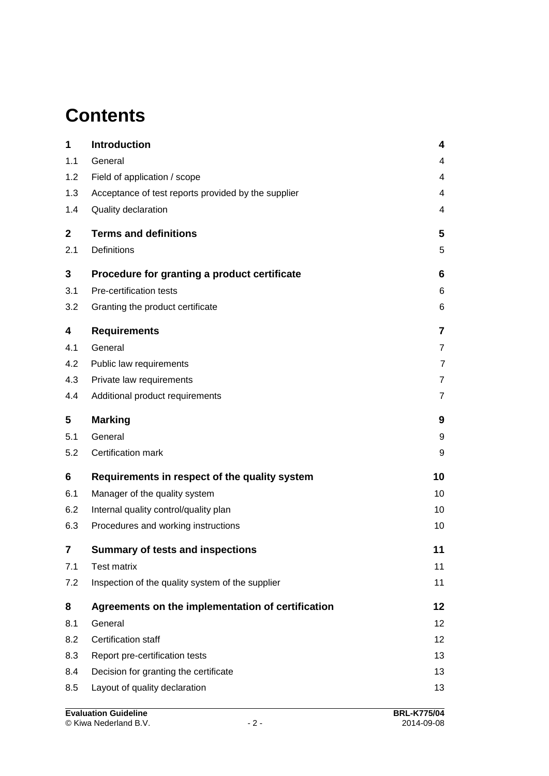### **Contents**

| 1                       | <b>Introduction</b>                                 | 4               |
|-------------------------|-----------------------------------------------------|-----------------|
| 1.1                     | General                                             | 4               |
| 1.2                     | Field of application / scope                        | 4               |
| 1.3                     | Acceptance of test reports provided by the supplier | 4               |
| 1.4                     | Quality declaration                                 | 4               |
| $\mathbf 2$             | <b>Terms and definitions</b>                        | 5               |
| 2.1                     | <b>Definitions</b>                                  | 5               |
| 3                       | Procedure for granting a product certificate        | 6               |
| 3.1                     | Pre-certification tests                             | 6               |
| 3.2                     | Granting the product certificate                    | 6               |
| 4                       | <b>Requirements</b>                                 | $\overline{7}$  |
| 4.1                     | General                                             | $\overline{7}$  |
| 4.2                     | Public law requirements                             | $\overline{7}$  |
| 4.3                     | Private law requirements                            | $\overline{7}$  |
| 4.4                     | Additional product requirements                     | $\overline{7}$  |
| 5                       | <b>Marking</b>                                      | 9               |
| 5.1                     | General                                             | 9               |
| 5.2                     | Certification mark                                  | 9               |
| 6                       | Requirements in respect of the quality system       | 10              |
| 6.1                     | Manager of the quality system                       | 10              |
| 6.2                     | Internal quality control/quality plan               | 10              |
| 6.3                     | Procedures and working instructions                 | 10              |
| $\overline{\mathbf{7}}$ | <b>Summary of tests and inspections</b>             | 11              |
| 7.1                     | <b>Test matrix</b>                                  | 11              |
| 7.2                     | Inspection of the quality system of the supplier    | 11              |
| 8                       | Agreements on the implementation of certification   | 12              |
| 8.1                     | General                                             | 12 <sub>2</sub> |
| 8.2                     | Certification staff                                 | 12              |
| 8.3                     | Report pre-certification tests                      | 13              |
| 8.4                     | Decision for granting the certificate               | 13              |
| 8.5                     | Layout of quality declaration                       | 13              |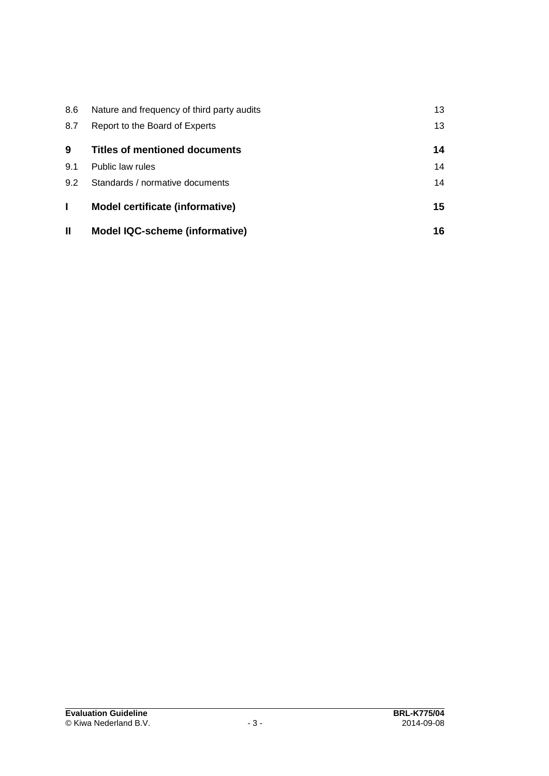| 8.6          | Nature and frequency of third party audits | 13 |
|--------------|--------------------------------------------|----|
| 8.7          | Report to the Board of Experts             | 13 |
| 9            | <b>Titles of mentioned documents</b>       | 14 |
| 9.1          | Public law rules                           | 14 |
| 9.2          | Standards / normative documents            | 14 |
|              | <b>Model certificate (informative)</b>     | 15 |
| $\mathbf{I}$ | <b>Model IQC-scheme (informative)</b>      | 16 |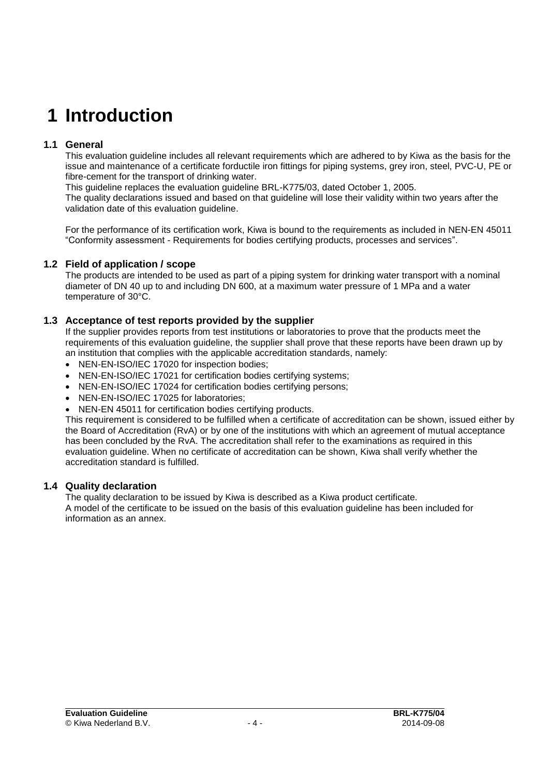### **1 Introduction**

#### **1.1 General**

This evaluation guideline includes all relevant requirements which are adhered to by Kiwa as the basis for the issue and maintenance of a certificate forductile iron fittings for piping systems, grey iron, steel, PVC-U, PE or fibre-cement for the transport of drinking water.

This guideline replaces the evaluation guideline BRL-K775/03, dated October 1, 2005.

The quality declarations issued and based on that guideline will lose their validity within two years after the validation date of this evaluation guideline.

For the performance of its certification work, Kiwa is bound to the requirements as included in NEN-EN 45011 "Conformity assessment - Requirements for bodies certifying products, processes and services".

#### **1.2 Field of application / scope**

The products are intended to be used as part of a piping system for drinking water transport with a nominal diameter of DN 40 up to and including DN 600, at a maximum water pressure of 1 MPa and a water temperature of 30°C.

#### **1.3 Acceptance of test reports provided by the supplier**

If the supplier provides reports from test institutions or laboratories to prove that the products meet the requirements of this evaluation guideline, the supplier shall prove that these reports have been drawn up by an institution that complies with the applicable accreditation standards, namely:

- NEN-EN-ISO/IEC 17020 for inspection bodies;
- NEN-EN-ISO/IEC 17021 for certification bodies certifying systems;
- NEN-EN-ISO/IEC 17024 for certification bodies certifying persons:
- NEN-EN-ISO/IEC 17025 for laboratories;
- NEN-EN 45011 for certification bodies certifying products.

This requirement is considered to be fulfilled when a certificate of accreditation can be shown, issued either by the Board of Accreditation (RvA) or by one of the institutions with which an agreement of mutual acceptance has been concluded by the RvA. The accreditation shall refer to the examinations as required in this evaluation guideline. When no certificate of accreditation can be shown, Kiwa shall verify whether the accreditation standard is fulfilled.

#### **1.4 Quality declaration**

The quality declaration to be issued by Kiwa is described as a Kiwa product certificate. A model of the certificate to be issued on the basis of this evaluation guideline has been included for information as an annex.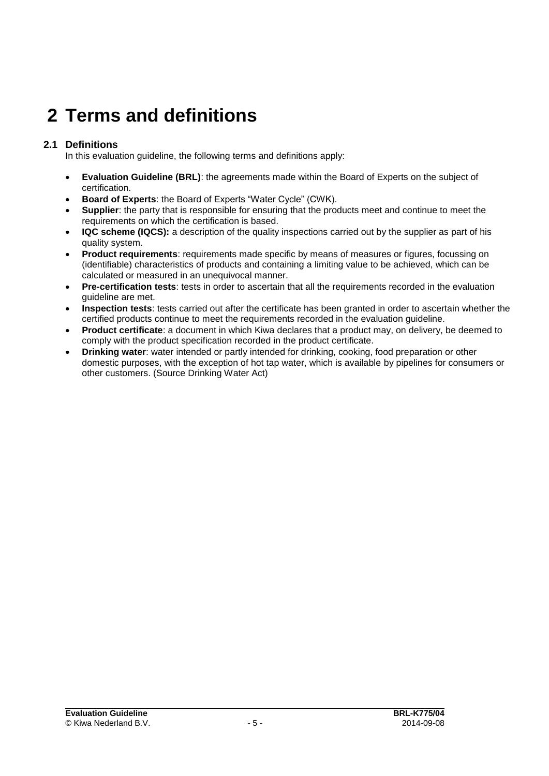## **2 Terms and definitions**

#### **2.1 Definitions**

In this evaluation guideline, the following terms and definitions apply:

- **Evaluation Guideline (BRL)**: the agreements made within the Board of Experts on the subject of certification.
- **Board of Experts**: the Board of Experts "Water Cycle" (CWK).
- **Supplier**: the party that is responsible for ensuring that the products meet and continue to meet the requirements on which the certification is based.
- **IQC scheme (IQCS):** a description of the quality inspections carried out by the supplier as part of his quality system.
- **Product requirements**: requirements made specific by means of measures or figures, focussing on (identifiable) characteristics of products and containing a limiting value to be achieved, which can be calculated or measured in an unequivocal manner.
- **Pre-certification tests**: tests in order to ascertain that all the requirements recorded in the evaluation guideline are met.
- **Inspection tests**: tests carried out after the certificate has been granted in order to ascertain whether the certified products continue to meet the requirements recorded in the evaluation guideline.
- **Product certificate**: a document in which Kiwa declares that a product may, on delivery, be deemed to comply with the product specification recorded in the product certificate.
- **Drinking water**: water intended or partly intended for drinking, cooking, food preparation or other domestic purposes, with the exception of hot tap water, which is available by pipelines for consumers or other customers. (Source Drinking Water Act)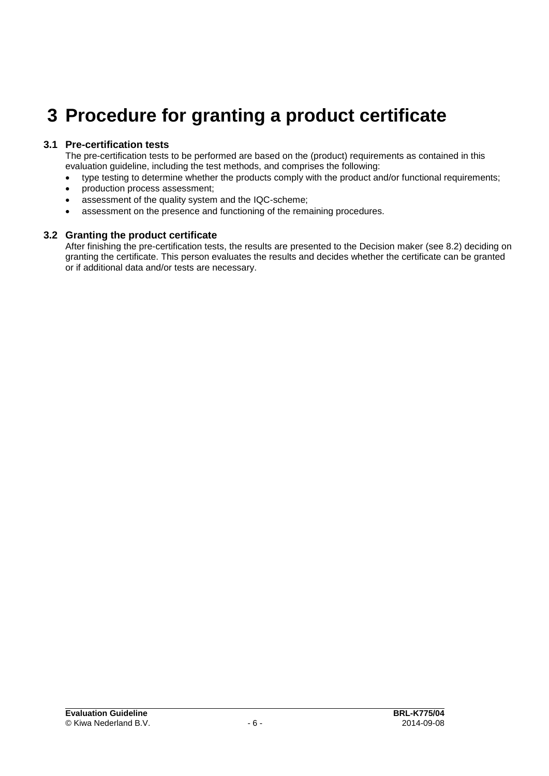### **3 Procedure for granting a product certificate**

#### **3.1 Pre-certification tests**

The pre-certification tests to be performed are based on the (product) requirements as contained in this evaluation guideline, including the test methods, and comprises the following:

- type testing to determine whether the products comply with the product and/or functional requirements;
- production process assessment:
- assessment of the quality system and the IQC-scheme;
- assessment on the presence and functioning of the remaining procedures.

#### **3.2 Granting the product certificate**

After finishing the pre-certification tests, the results are presented to the Decision maker (see [8.2\)](#page-12-0) deciding on granting the certificate. This person evaluates the results and decides whether the certificate can be granted or if additional data and/or tests are necessary.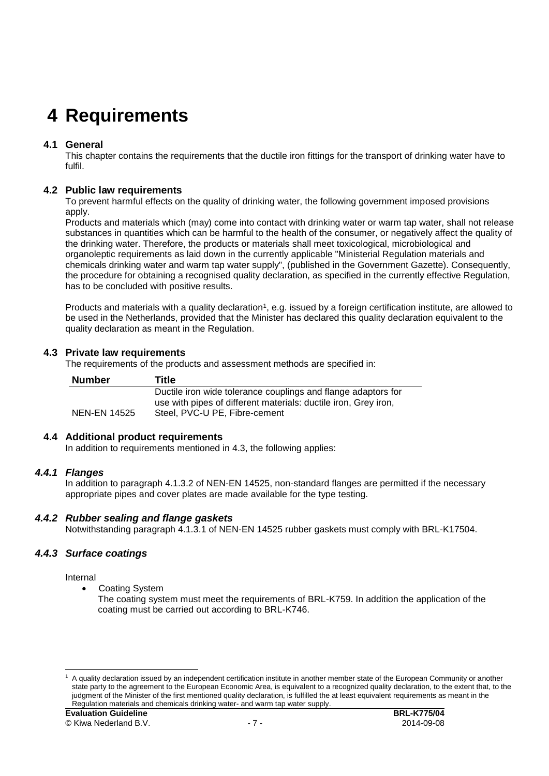## **4 Requirements**

#### **4.1 General**

This chapter contains the requirements that the ductile iron fittings for the transport of drinking water have to fulfil.

#### **4.2 Public law requirements**

To prevent harmful effects on the quality of drinking water, the following government imposed provisions apply.

Products and materials which (may) come into contact with drinking water or warm tap water, shall not release substances in quantities which can be harmful to the health of the consumer, or negatively affect the quality of the drinking water. Therefore, the products or materials shall meet toxicological, microbiological and organoleptic requirements as laid down in the currently applicable "Ministerial Regulation materials and chemicals drinking water and warm tap water supply", (published in the Government Gazette). Consequently, the procedure for obtaining a recognised quality declaration, as specified in the currently effective Regulation, has to be concluded with positive results.

Products and materials with a quality declaration<sup>1</sup>, e.g. issued by a foreign certification institute, are allowed to be used in the Netherlands, provided that the Minister has declared this quality declaration equivalent to the quality declaration as meant in the Regulation.

#### **4.3 Private law requirements**

The requirements of the products and assessment methods are specified in:

| <b>Number</b> | Title                                                           |
|---------------|-----------------------------------------------------------------|
|               | Ductile iron wide tolerance couplings and flange adaptors for   |
|               | use with pipes of different materials: ductile iron, Grey iron, |
| NEN-EN 14525  | Steel, PVC-U PE, Fibre-cement                                   |

#### **4.4 Additional product requirements**

In addition to requirements mentioned in 4.3, the following applies:

#### *4.4.1 Flanges*

In addition to paragraph 4.1.3.2 of NEN-EN 14525, non-standard flanges are permitted if the necessary appropriate pipes and cover plates are made available for the type testing.

#### *4.4.2 Rubber sealing and flange gaskets*

Notwithstanding paragraph 4.1.3.1 of NEN-EN 14525 rubber gaskets must comply with BRL-K17504.

#### *4.4.3 Surface coatings*

Internal

Coating System

The coating system must meet the requirements of BRL-K759. In addition the application of the coating must be carried out according to BRL-K746.

 $\overline{a}$ <sup>1</sup> A quality declaration issued by an independent certification institute in another member state of the European Community or another state party to the agreement to the European Economic Area, is equivalent to a recognized quality declaration, to the extent that, to the judgment of the Minister of the first mentioned quality declaration, is fulfilled the at least equivalent requirements as meant in the Regulation materials and chemicals drinking water- and warm tap water supply.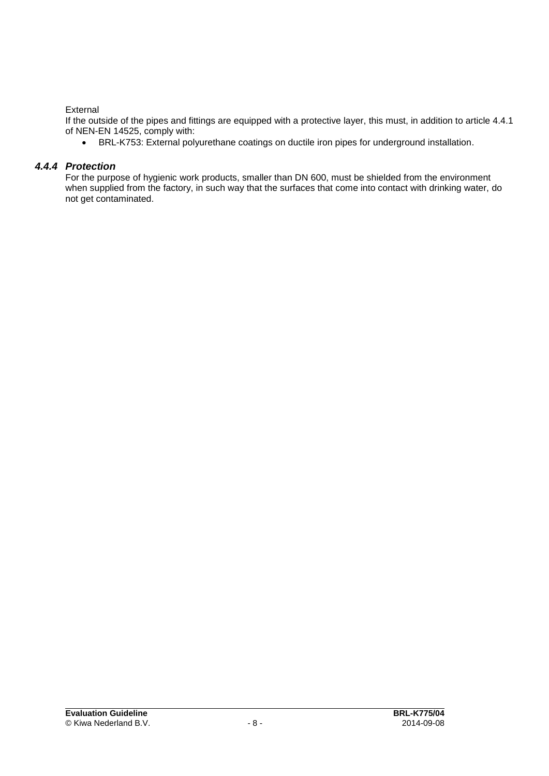#### External

If the outside of the pipes and fittings are equipped with a protective layer, this must, in addition to article 4.4.1 of NEN-EN 14525, comply with:

BRL-K753: External polyurethane coatings on ductile iron pipes for underground installation.

#### *4.4.4 Protection*

For the purpose of hygienic work products, smaller than DN 600, must be shielded from the environment when supplied from the factory, in such way that the surfaces that come into contact with drinking water, do not get contaminated.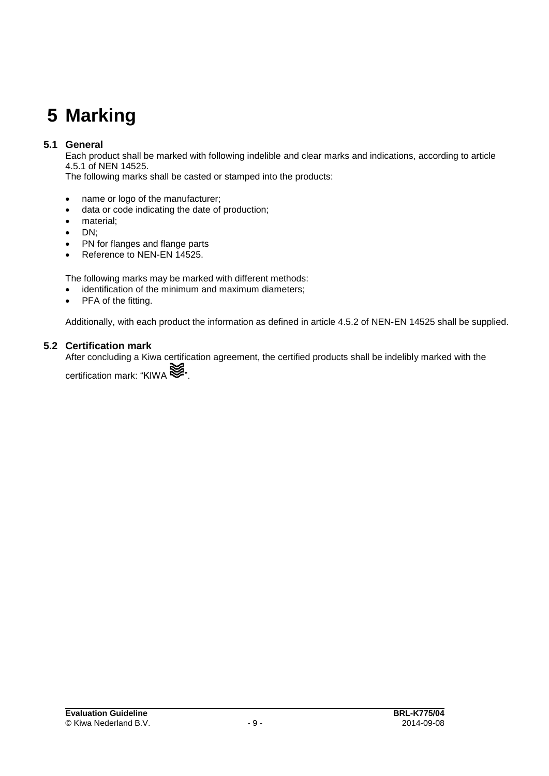## **5 Marking**

#### **5.1 General**

Each product shall be marked with following indelible and clear marks and indications, according to article 4.5.1 of NEN 14525.

The following marks shall be casted or stamped into the products:

- name or logo of the manufacturer;
- data or code indicating the date of production;
- material;
- $\bullet$  DN;
- PN for flanges and flange parts
- Reference to NEN-EN 14525.

The following marks may be marked with different methods:

- identification of the minimum and maximum diameters;
- PFA of the fitting.

Additionally, with each product the information as defined in article 4.5.2 of NEN-EN 14525 shall be supplied.

#### **5.2 Certification mark**

After concluding a Kiwa certification agreement, the certified products shall be indelibly marked with the

certification mark: "KIWA  $\lessgtr$ "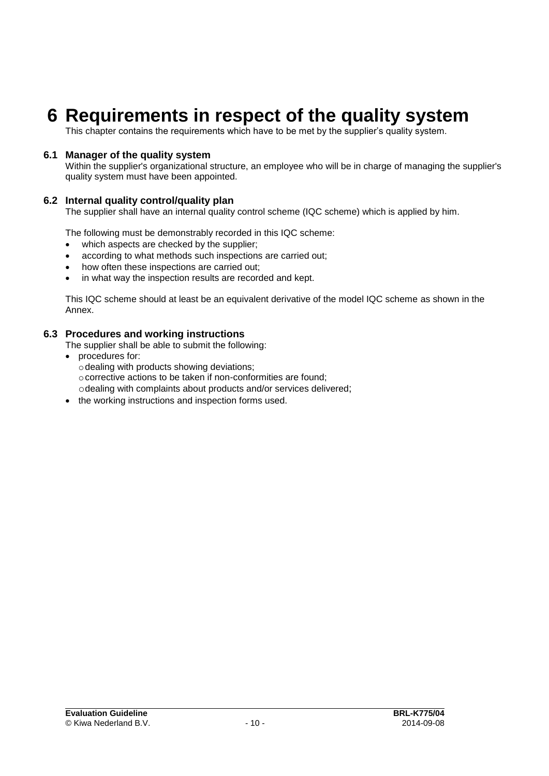### **6 Requirements in respect of the quality system**

This chapter contains the requirements which have to be met by the supplier's quality system.

#### **6.1 Manager of the quality system**

Within the supplier's organizational structure, an employee who will be in charge of managing the supplier's quality system must have been appointed.

#### **6.2 Internal quality control/quality plan**

The supplier shall have an internal quality control scheme (IQC scheme) which is applied by him.

The following must be demonstrably recorded in this IQC scheme:

- which aspects are checked by the supplier;
- according to what methods such inspections are carried out;
- how often these inspections are carried out;
- in what way the inspection results are recorded and kept.

This IQC scheme should at least be an equivalent derivative of the model IQC scheme as shown in the Annex.

#### **6.3 Procedures and working instructions**

The supplier shall be able to submit the following:

- procedures for:
- $\circ$  dealing with products showing deviations; ocorrective actions to be taken if non-conformities are found; odealing with complaints about products and/or services delivered;
- the working instructions and inspection forms used.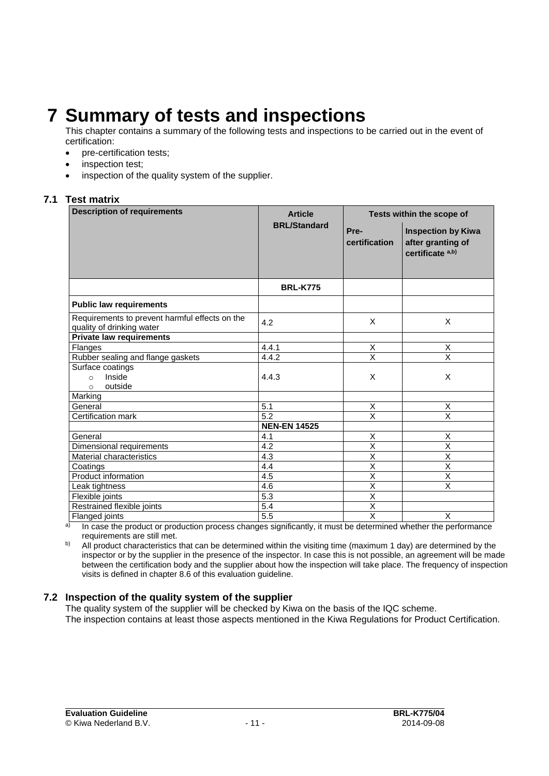### **7 Summary of tests and inspections**

This chapter contains a summary of the following tests and inspections to be carried out in the event of certification:

- pre-certification tests:
- inspection test;
- inspection of the quality system of the supplier.

#### **7.1 Test matrix**

| <b>Description of requirements</b>                                          | <b>Article</b>      | Tests within the scope of |                                                                               |
|-----------------------------------------------------------------------------|---------------------|---------------------------|-------------------------------------------------------------------------------|
|                                                                             | <b>BRL/Standard</b> | Pre-<br>certification     | <b>Inspection by Kiwa</b><br>after granting of<br>certificate <sup>a,b)</sup> |
|                                                                             | <b>BRL-K775</b>     |                           |                                                                               |
| <b>Public law requirements</b>                                              |                     |                           |                                                                               |
| Requirements to prevent harmful effects on the<br>quality of drinking water | 4.2                 | X                         | X                                                                             |
| <b>Private law requirements</b>                                             |                     |                           |                                                                               |
| Flanges                                                                     | 4.4.1               | Χ                         | Х                                                                             |
| Rubber sealing and flange gaskets                                           | 4.4.2               | $\overline{\mathsf{x}}$   | $\overline{\mathsf{x}}$                                                       |
| Surface coatings<br>Inside<br>$\circ$<br>outside<br>$\circ$                 | 4.4.3               | X                         | X                                                                             |
| Marking                                                                     |                     |                           |                                                                               |
| General                                                                     | 5.1                 | X                         | X                                                                             |
| Certification mark                                                          | 5.2                 | X                         | $\overline{\mathsf{x}}$                                                       |
|                                                                             | <b>NEN-EN 14525</b> |                           |                                                                               |
| General                                                                     | 4.1                 | X                         | X                                                                             |
| Dimensional requirements                                                    | 4.2                 | X                         | X                                                                             |
| Material characteristics                                                    | 4.3                 | $\overline{\mathsf{x}}$   | $\overline{\mathsf{x}}$                                                       |
| Coatings                                                                    | 4.4                 | $\overline{\mathsf{x}}$   | $\overline{\mathsf{x}}$                                                       |
| Product information                                                         | 4.5                 | $\overline{\mathsf{x}}$   | $\overline{\mathsf{x}}$                                                       |
| Leak tightness                                                              | $4.\overline{6}$    | $\overline{\mathsf{x}}$   | $\overline{\mathsf{x}}$                                                       |
| Flexible joints                                                             | 5.3                 | Χ                         |                                                                               |
| Restrained flexible joints                                                  | $\overline{5.4}$    | $\overline{\mathsf{x}}$   |                                                                               |
| Flanged joints                                                              | 5.5                 | $\overline{\mathsf{x}}$   | X                                                                             |

a) In case the product or production process changes significantly, it must be determined whether the performance requirements are still met.

<sup>b)</sup> All product characteristics that can be determined within the visiting time (maximum 1 day) are determined by the inspector or by the supplier in the presence of the inspector. In case this is not possible, an agreement will be made between the certification body and the supplier about how the inspection will take place. The frequency of inspection visits is defined in chapter [8.6](#page-13-0) of this evaluation guideline.

#### **7.2 Inspection of the quality system of the supplier**

The quality system of the supplier will be checked by Kiwa on the basis of the IQC scheme.

The inspection contains at least those aspects mentioned in the Kiwa Regulations for Product Certification.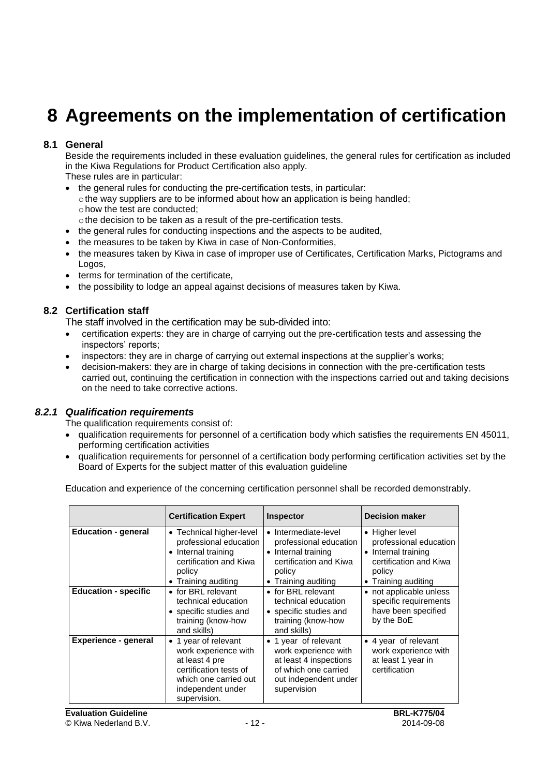### **8 Agreements on the implementation of certification**

#### **8.1 General**

Beside the requirements included in these evaluation guidelines, the general rules for certification as included in the Kiwa Regulations for Product Certification also apply.

These rules are in particular:

- the general rules for conducting the pre-certification tests, in particular:
- othe way suppliers are to be informed about how an application is being handled; ohow the test are conducted;
- othe decision to be taken as a result of the pre-certification tests.
- the general rules for conducting inspections and the aspects to be audited,
- the measures to be taken by Kiwa in case of Non-Conformities,
- the measures taken by Kiwa in case of improper use of Certificates, Certification Marks, Pictograms and Logos,
- terms for termination of the certificate,
- <span id="page-12-0"></span>the possibility to lodge an appeal against decisions of measures taken by Kiwa.

#### **8.2 Certification staff**

The staff involved in the certification may be sub-divided into:

- certification experts: they are in charge of carrying out the pre-certification tests and assessing the inspectors' reports;
- inspectors: they are in charge of carrying out external inspections at the supplier's works;
- decision-makers: they are in charge of taking decisions in connection with the pre-certification tests carried out, continuing the certification in connection with the inspections carried out and taking decisions on the need to take corrective actions.

#### *8.2.1 Qualification requirements*

The qualification requirements consist of:

- qualification requirements for personnel of a certification body which satisfies the requirements EN 45011, performing certification activities
- qualification requirements for personnel of a certification body performing certification activities set by the Board of Experts for the subject matter of this evaluation guideline

Education and experience of the concerning certification personnel shall be recorded demonstrably.

|                             | <b>Certification Expert</b>                                                                                                                            | <b>Inspector</b>                                                                                                                       | <b>Decision maker</b>                                                                                                      |
|-----------------------------|--------------------------------------------------------------------------------------------------------------------------------------------------------|----------------------------------------------------------------------------------------------------------------------------------------|----------------------------------------------------------------------------------------------------------------------------|
| <b>Education - general</b>  | • Technical higher-level<br>professional education<br>• Internal training<br>certification and Kiwa<br>policy<br>• Training auditing                   | • Intermediate-level<br>professional education<br>• Internal training<br>certification and Kiwa<br>policy<br>• Training auditing       | • Higher level<br>professional education<br>• Internal training<br>certification and Kiwa<br>policy<br>• Training auditing |
| <b>Education - specific</b> | • for BRL relevant<br>technical education<br>• specific studies and<br>training (know-how<br>and skills)                                               | • for BRL relevant<br>technical education<br>• specific studies and<br>training (know-how<br>and skills)                               | • not applicable unless<br>specific requirements<br>have been specified<br>by the BoE                                      |
| <b>Experience - general</b> | • 1 year of relevant<br>work experience with<br>at least 4 pre<br>certification tests of<br>which one carried out<br>independent under<br>supervision. | • 1 year of relevant<br>work experience with<br>at least 4 inspections<br>of which one carried<br>out independent under<br>supervision | • 4 year of relevant<br>work experience with<br>at least 1 year in<br>certification                                        |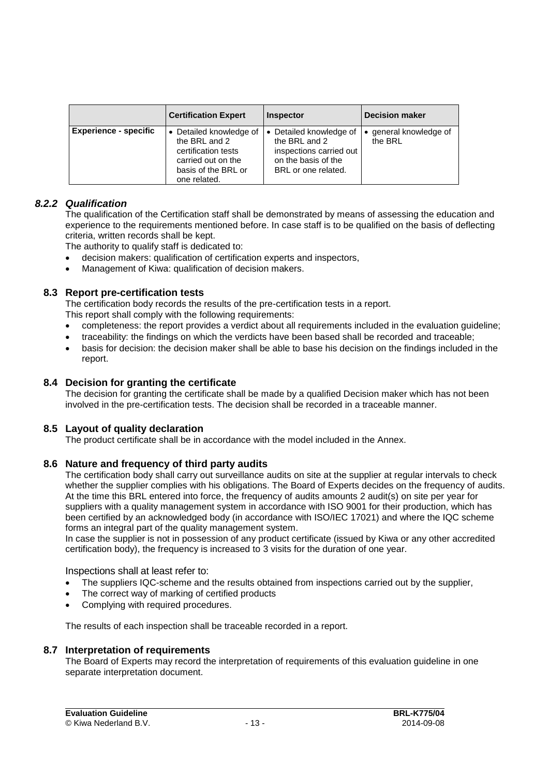|                              | <b>Certification Expert</b>                                                                                                | <b>Inspector</b>                                                                                                  | <b>Decision maker</b>             |
|------------------------------|----------------------------------------------------------------------------------------------------------------------------|-------------------------------------------------------------------------------------------------------------------|-----------------------------------|
| <b>Experience - specific</b> | Detailed knowledge of<br>the BRL and 2<br>certification tests<br>carried out on the<br>basis of the BRL or<br>one related. | • Detailed knowledge of<br>the BRL and 2<br>inspections carried out<br>on the basis of the<br>BRL or one related. | • general knowledge of<br>the BRL |

#### *8.2.2 Qualification*

The qualification of the Certification staff shall be demonstrated by means of assessing the education and experience to the requirements mentioned before. In case staff is to be qualified on the basis of deflecting criteria, written records shall be kept.

The authority to qualify staff is dedicated to:

- decision makers: qualification of certification experts and inspectors,
- Management of Kiwa: qualification of decision makers.

#### **8.3 Report pre-certification tests**

The certification body records the results of the pre-certification tests in a report.

This report shall comply with the following requirements:

- completeness: the report provides a verdict about all requirements included in the evaluation guideline;
- traceability: the findings on which the verdicts have been based shall be recorded and traceable;
- basis for decision: the decision maker shall be able to base his decision on the findings included in the report.

#### **8.4 Decision for granting the certificate**

The decision for granting the certificate shall be made by a qualified Decision maker which has not been involved in the pre-certification tests. The decision shall be recorded in a traceable manner.

#### **8.5 Layout of quality declaration**

<span id="page-13-0"></span>The product certificate shall be in accordance with the model included in the Annex.

#### **8.6 Nature and frequency of third party audits**

The certification body shall carry out surveillance audits on site at the supplier at regular intervals to check whether the supplier complies with his obligations. The Board of Experts decides on the frequency of audits. At the time this BRL entered into force, the frequency of audits amounts 2 audit(s) on site per year for suppliers with a quality management system in accordance with ISO 9001 for their production, which has been certified by an acknowledged body (in accordance with ISO/IEC 17021) and where the IQC scheme forms an integral part of the quality management system.

In case the supplier is not in possession of any product certificate (issued by Kiwa or any other accredited certification body), the frequency is increased to 3 visits for the duration of one year.

Inspections shall at least refer to:

- The suppliers IQC-scheme and the results obtained from inspections carried out by the supplier,
- The correct way of marking of certified products
- Complying with required procedures.

The results of each inspection shall be traceable recorded in a report.

#### **8.7 Interpretation of requirements**

The Board of Experts may record the interpretation of requirements of this evaluation guideline in one separate interpretation document.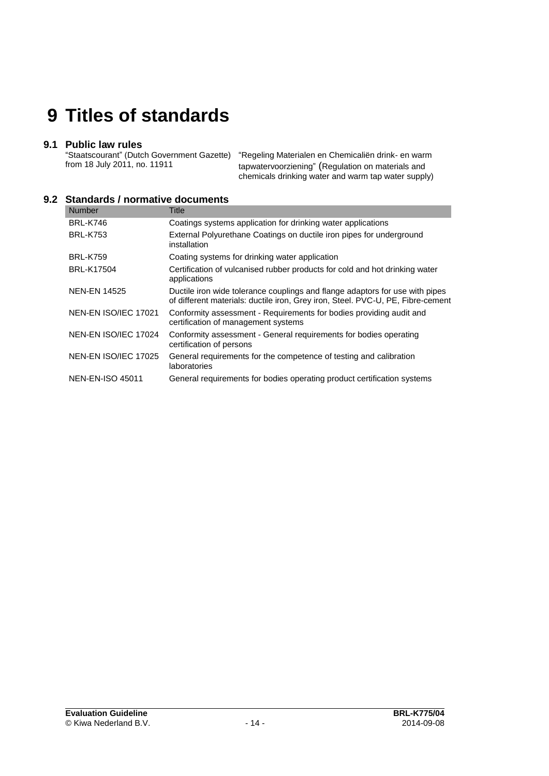### **9 Titles of standards**

#### **9.1 Public law rules**

"Staatscourant" (Dutch Government Gazette) from 18 July 2011, no. 11911

"Regeling Materialen en Chemicaliën drink- en warm tapwatervoorziening" (Regulation on materials and chemicals drinking water and warm tap water supply)

#### **9.2 Standards / normative documents**

| <b>Number</b>           | Title                                                                                                                                                           |
|-------------------------|-----------------------------------------------------------------------------------------------------------------------------------------------------------------|
| <b>BRL-K746</b>         | Coatings systems application for drinking water applications                                                                                                    |
| <b>BRL-K753</b>         | External Polyurethane Coatings on ductile iron pipes for underground<br>installation                                                                            |
| <b>BRL-K759</b>         | Coating systems for drinking water application                                                                                                                  |
| <b>BRL-K17504</b>       | Certification of vulcanised rubber products for cold and hot drinking water<br>applications                                                                     |
| <b>NEN-EN 14525</b>     | Ductile iron wide tolerance couplings and flange adaptors for use with pipes<br>of different materials: ductile iron, Grey iron, Steel. PVC-U, PE, Fibre-cement |
| NEN-EN ISO/IEC 17021    | Conformity assessment - Requirements for bodies providing audit and<br>certification of management systems                                                      |
| NEN-EN ISO/IEC 17024    | Conformity assessment - General requirements for bodies operating<br>certification of persons                                                                   |
| NEN-EN ISO/IEC 17025    | General requirements for the competence of testing and calibration<br>laboratories                                                                              |
| <b>NEN-EN-ISO 45011</b> | General requirements for bodies operating product certification systems                                                                                         |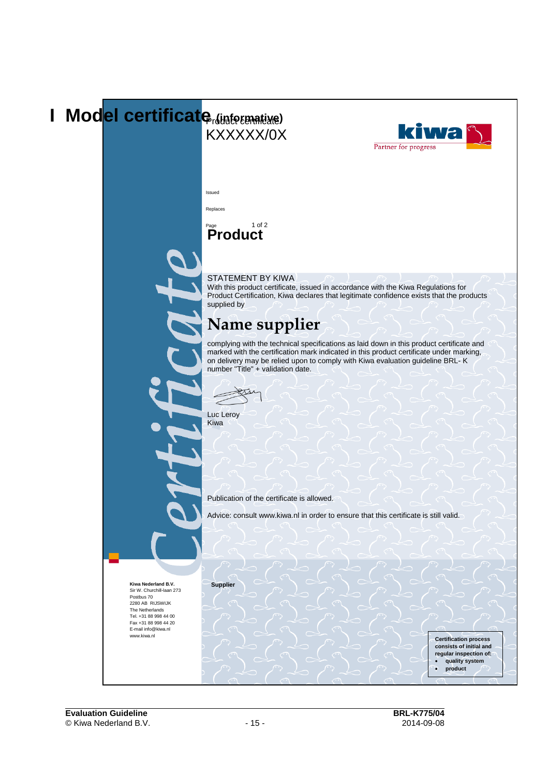### **I** Model certificate *(informative)* iwa KXXXXX/0X Partner for progress Issued Replaces Page 1 of 2 **Product** STATEMENT BY KIWA With this product certificate, issued in accordance with the Kiwa Regulations for Product Certification, Kiwa declares that legitimate confidence exists that the products supplied by **Name supplier** complying with the technical specifications as laid down in this product certificate and marked with the certification mark indicated in this product certificate under marking, on delivery may be relied upon to comply with Kiwa evaluation guideline BRL- K number "Title" + validation date. Luc Leroy Kiwa Publication of the certificate is allowed. Advice: consult www.kiwa.nl in order to ensure that this certificate is still valid.**Supplier Kiwa Nederland B.V.** Sir W. Churchill-laan 273 Postbus 70 2280 AB RIJSWIJK The Netherlands Tel. +31 88 998 44 00 Fax +31 88 998 44 20 E-mail info@kiwa.nl www.kiwa.nl **Certification process consists of initial and regular inspection of: quality system product**  $\overline{a}$